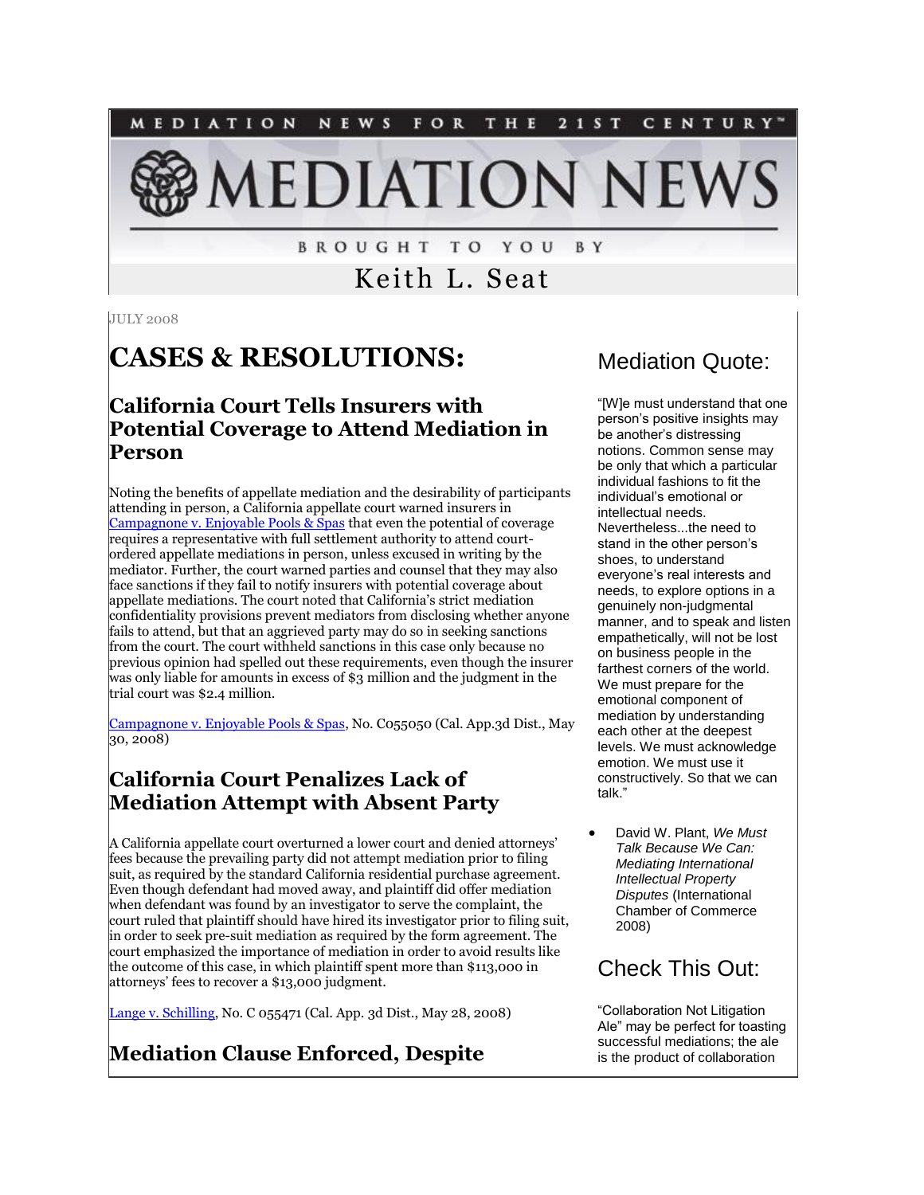NEWS FOR THE 2 1 S T MEDIATION CENTURY"

**EDIATION NEV** 

**BROUGHT TO YOU** B Y

Keith L. Seat

JULY 2008

# **CASES & RESOLUTIONS:**

#### **California Court Tells Insurers with Potential Coverage to Attend Mediation in Person**

Noting the benefits of appellate mediation and the desirability of participants attending in person, a California appellate court warned insurers in [Campagnone v. Enjoyable Pools & Spas](http://www.courtinfo.ca.gov/opinions/documents/C055050.PDF) that even the potential of coverage requires a representative with full settlement authority to attend courtordered appellate mediations in person, unless excused in writing by the mediator. Further, the court warned parties and counsel that they may also face sanctions if they fail to notify insurers with potential coverage about appellate mediations. The court noted that California's strict mediation confidentiality provisions prevent mediators from disclosing whether anyone fails to attend, but that an aggrieved party may do so in seeking sanctions from the court. The court withheld sanctions in this case only because no previous opinion had spelled out these requirements, even though the insurer was only liable for amounts in excess of \$3 million and the judgment in the trial court was \$2.4 million.

[Campagnone v. Enjoyable Pools & Spas,](http://www.courtinfo.ca.gov/opinions/documents/C055050.PDF) No. C055050 (Cal. App.3d Dist., May 30, 2008)

## **California Court Penalizes Lack of Mediation Attempt with Absent Party**

A California appellate court overturned a lower court and denied attorneys' fees because the prevailing party did not attempt mediation prior to filing suit, as required by the standard California residential purchase agreement. Even though defendant had moved away, and plaintiff did offer mediation when defendant was found by an investigator to serve the complaint, the court ruled that plaintiff should have hired its investigator prior to filing suit, in order to seek pre-suit mediation as required by the form agreement. The court emphasized the importance of mediation in order to avoid results like the outcome of this case, in which plaintiff spent more than \$113,000 in attorneys' fees to recover a \$13,000 judgment.

[Lange v. Schilling,](http://tinyurl.com/6aqob5) No. C 055471 (Cal. App. 3d Dist., May 28, 2008)

## **Mediation Clause Enforced, Despite**

## Mediation Quote:

"[W]e must understand that one person's positive insights may be another's distressing notions. Common sense may be only that which a particular individual fashions to fit the individual's emotional or intellectual needs. Nevertheless...the need to stand in the other person's shoes, to understand everyone's real interests and needs, to explore options in a genuinely non-judgmental manner, and to speak and listen empathetically, will not be lost on business people in the farthest corners of the world. We must prepare for the emotional component of mediation by understanding each other at the deepest levels. We must acknowledge emotion. We must use it constructively. So that we can talk."

 David W. Plant, *We Must Talk Because We Can: Mediating International Intellectual Property Disputes* (International Chamber of Commerce 2008)

## Check This Out:

"Collaboration Not Litigation Ale" may be perfect for toasting successful mediations; the ale is the product of collaboration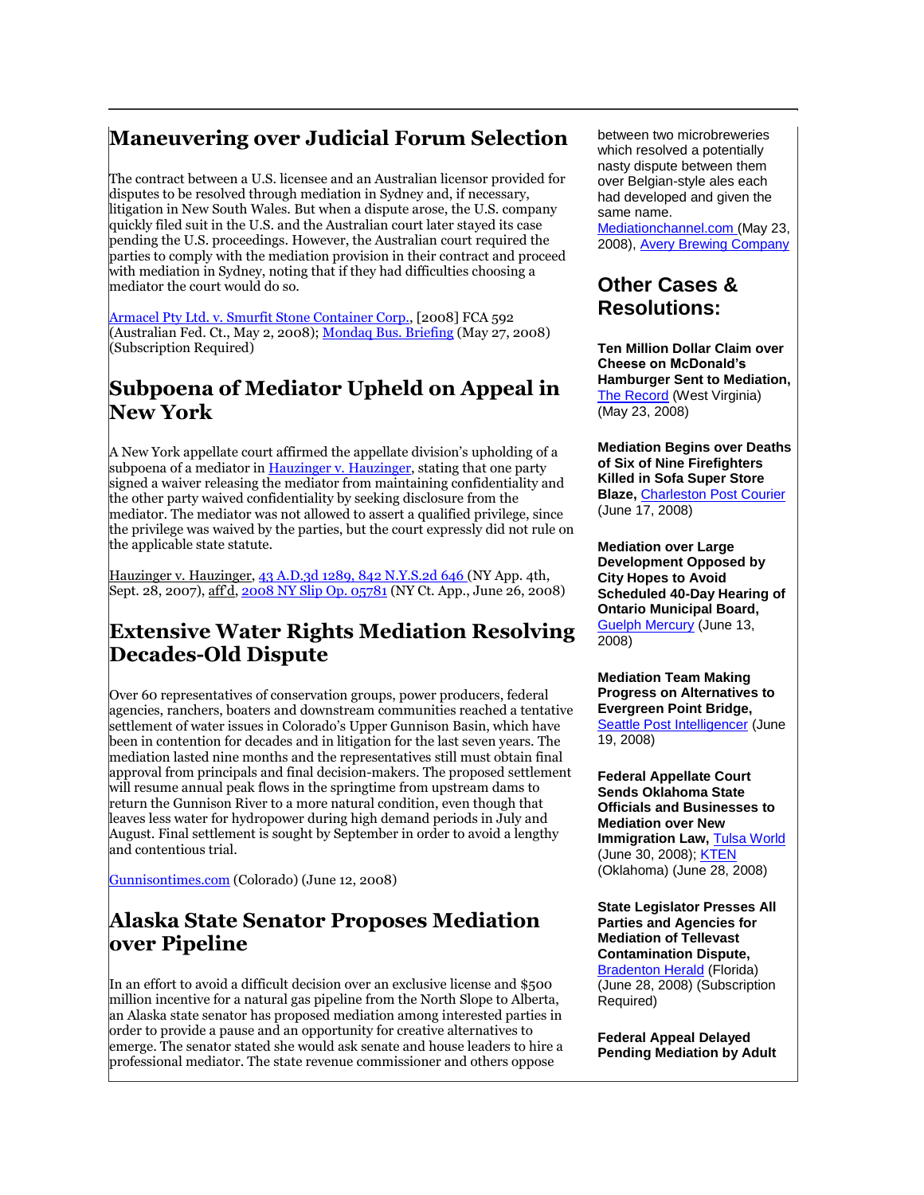### **Maneuvering over Judicial Forum Selection**

The contract between a U.S. licensee and an Australian licensor provided for disputes to be resolved through mediation in Sydney and, if necessary, litigation in New South Wales. But when a dispute arose, the U.S. company quickly filed suit in the U.S. and the Australian court later stayed its case pending the U.S. proceedings. However, the Australian court required the parties to comply with the mediation provision in their contract and proceed with mediation in Sydney, noting that if they had difficulties choosing a mediator the court would do so.

[Armacel Pty Ltd. v. Smurfit Stone Container Corp.,](http://www.austlii.edu.au/cgi-bin/sinodisp/au/cases/cth/FCA/2008/592.html) [2008] FCA 592 (Australian Fed. Ct., May 2, 2008)[; Mondaq Bus. Briefing](http://tinyurl.com/5rcndk) (May 27, 2008) (Subscription Required)

#### **Subpoena of Mediator Upheld on Appeal in New York**

A New York appellate court affirmed the appellate division's upholding of a subpoena of a mediator in [Hauzinger v. Hauzinger,](http://www.law.cornell.edu/nyctap/I08_0109.htm) stating that one party signed a waiver releasing the mediator from maintaining confidentiality and the other party waived confidentiality by seeking disclosure from the mediator. The mediator was not allowed to assert a qualified privilege, since the privilege was waived by the parties, but the court expressly did not rule on the applicable state statute.

Hauzinger v. Hauzinger[, 43 A.D.3d 1289, 842 N.Y.S.2d 646 \(](http://www.nycourts.gov/ad4/court/Decisions/2007/09-28-07/PDF/0918.pdf)NY App. 4th, Sept. 28, 2007), aff d[, 2008 NY Slip Op. 05781](http://www.law.cornell.edu/nyctap/I08_0109.htm) (NY Ct. App., June 26, 2008)

## **Extensive Water Rights Mediation Resolving Decades-Old Dispute**

Over 60 representatives of conservation groups, power producers, federal agencies, ranchers, boaters and downstream communities reached a tentative settlement of water issues in Colorado's Upper Gunnison Basin, which have been in contention for decades and in litigation for the last seven years. The mediation lasted nine months and the representatives still must obtain final approval from principals and final decision-makers. The proposed settlement will resume annual peak flows in the springtime from upstream dams to return the Gunnison River to a more natural condition, even though that leaves less water for hydropower during high demand periods in July and August. Final settlement is sought by September in order to avoid a lengthy and contentious trial.

[Gunnisontimes.com](http://www.gunnisontimes.com/index.php?content=C_news&newsid=5584) (Colorado) (June 12, 2008)

#### **Alaska State Senator Proposes Mediation over Pipeline**

In an effort to avoid a difficult decision over an exclusive license and \$500 million incentive for a natural gas pipeline from the North Slope to Alberta, an Alaska state senator has proposed mediation among interested parties in order to provide a pause and an opportunity for creative alternatives to emerge. The senator stated she would ask senate and house leaders to hire a professional mediator. The state revenue commissioner and others oppose

between two microbreweries which resolved a potentially nasty dispute between them over Belgian-style ales each had developed and given the same name.

[Mediationchannel.com \(](http://mediationchannel.com/2008/05/23/mediation-gets-its-own-official-brew-collaboration-not-litigation-ale/)May 23, 2008), [Avery Brewing Company](http://www.averybrewing.com/BigBeers/seasonal/CollaborationnotLitigationAle)

#### **Other Cases & Resolutions:**

**Ten Million Dollar Claim over Cheese on McDonald's Hamburger Sent to Mediation,**  [The Record](http://wvrecord.com/news/contentview.asp?c=212729) (West Virginia) (May 23, 2008)

**Mediation Begins over Deaths of Six of Nine Firefighters Killed in Sofa Super Store Blaze,** [Charleston Post Courier](http://www.charleston.net/news/2008/jun/17/lawyers_meet_this_week_mediation44718) (June 17, 2008)

**Mediation over Large Development Opposed by City Hopes to Avoid Scheduled 40-Day Hearing of Ontario Municipal Board,**  [Guelph Mercury](http://news.guelphmercury.com/News/article/341009) (June 13, 2008)

**Mediation Team Making Progress on Alternatives to Evergreen Point Bridge,**  [Seattle Post Intelligencer](http://seattlepi.nwsource.com/transportation/367608_520bridge19.html) (June 19, 2008)

**Federal Appellate Court Sends Oklahoma State Officials and Businesses to Mediation over New Immigration Law, [Tulsa World](http://www.tulsaworld.com/news/article.aspx?articleID=20080630_14_A1_spancl505994)** (June 30, 2008); [KTEN](http://www.kten.com/Global/story.asp?S=8572366) (Oklahoma) (June 28, 2008)

**State Legislator Presses All Parties and Agencies for Mediation of Tellevast Contamination Dispute,**  [Bradenton Herald](http://tinyurl.com/5hv7mg) (Florida) (June 28, 2008) (Subscription Required)

**Federal Appeal Delayed Pending Mediation by Adult**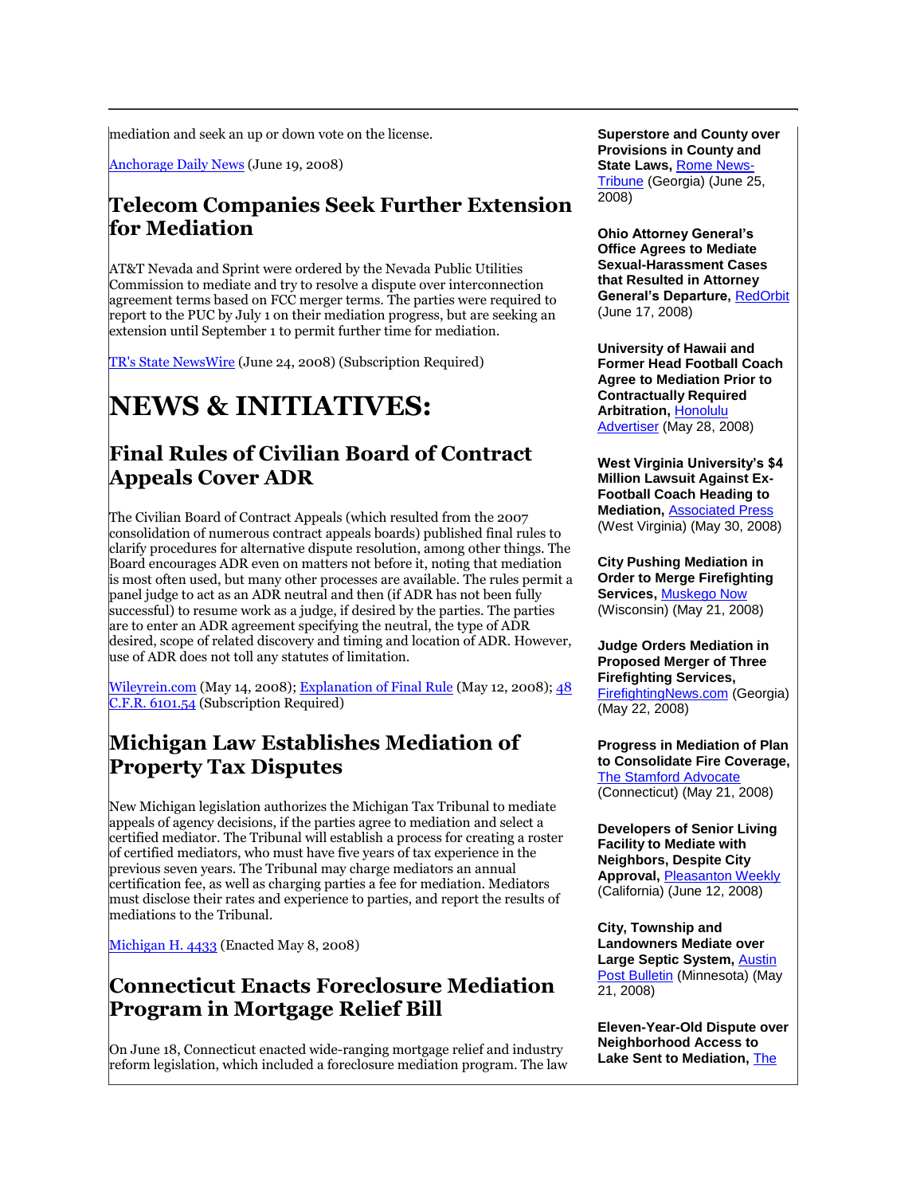mediation and seek an up or down vote on the license.

[Anchorage Daily News](http://www.adn.com/news/alaska/story/441740.html) (June 19, 2008)

#### **Telecom Companies Seek Further Extension for Mediation**

AT&T Nevada and Sprint were ordered by the Nevada Public Utilities Commission to mediate and try to resolve a dispute over interconnection agreement terms based on FCC merger terms. The parties were required to report to the PUC by July 1 on their mediation progress, but are seeking an extension until September 1 to permit further time for mediation.

[TR's State NewsWire](http://tinyurl.com/6d9pxd) (June 24, 2008) (Subscription Required)

## **NEWS & INITIATIVES:**

#### **Final Rules of Civilian Board of Contract Appeals Cover ADR**

The Civilian Board of Contract Appeals (which resulted from the 2007 consolidation of numerous contract appeals boards) published final rules to clarify procedures for alternative dispute resolution, among other things. The Board encourages ADR even on matters not before it, noting that mediation is most often used, but many other processes are available. The rules permit a panel judge to act as an ADR neutral and then (if ADR has not been fully successful) to resume work as a judge, if desired by the parties. The parties are to enter an ADR agreement specifying the neutral, the type of ADR desired, scope of related discovery and timing and location of ADR. However, use of ADR does not toll any statutes of limitation.

[Wileyrein.com](http://www.wileyrein.com/publication.cfm?publication_id=13591) (May 14, 2008); [Explanation of Final Rule](http://edocket.access.gpo.gov/2008/E8-10484.htm) (May 12, 2008); 48 [C.F.R. 6101.54](http://tinyurl.com/5q7qao) (Subscription Required)

#### **Michigan Law Establishes Mediation of Property Tax Disputes**

New Michigan legislation authorizes the Michigan Tax Tribunal to mediate appeals of agency decisions, if the parties agree to mediation and select a certified mediator. The Tribunal will establish a process for creating a roster of certified mediators, who must have five years of tax experience in the previous seven years. The Tribunal may charge mediators an annual certification fee, as well as charging parties a fee for mediation. Mediators must disclose their rates and experience to parties, and report the results of mediations to the Tribunal.

[Michigan H. 4433](http://www.legislature.mi.gov/documents/2007-2008/publicact/htm/2008-PA-0125.htm) (Enacted May 8, 2008)

#### **Connecticut Enacts Foreclosure Mediation Program in Mortgage Relief Bill**

On June 18, Connecticut enacted wide-ranging mortgage relief and industry reform legislation, which included a foreclosure mediation program. The law

**Superstore and County over Provisions in County and State Laws,** [Rome News-](http://news.mywebpal.com/partners/680/public/news911057.html)[Tribune](http://news.mywebpal.com/partners/680/public/news911057.html) (Georgia) (June 25, 2008)

**Ohio Attorney General's Office Agrees to Mediate Sexual-Harassment Cases that Resulted in Attorney**  General's Departure, [RedOrbit](http://tinyurl.com/5hvmnw) (June 17, 2008)

**University of Hawaii and Former Head Football Coach Agree to Mediation Prior to Contractually Required Arbitration,** [Honolulu](http://tinyurl.com/5kuqd6)  [Advertiser](http://tinyurl.com/5kuqd6) (May 28, 2008)

**West Virginia University's \$4 Million Lawsuit Against Ex-Football Coach Heading to Mediation,** [Associated Press](http://www.usatoday.com/sports/college/football/2008-05-29-wvu-rodriguez-lawsuit_N.htm) (West Virginia) (May 30, 2008)

**City Pushing Mediation in Order to Merge Firefighting Services,** [Muskego Now](http://www.mymuskegonow.com/story/index.aspx?id=752737) (Wisconsin) (May 21, 2008)

**Judge Orders Mediation in Proposed Merger of Three Firefighting Services,**  [FirefightingNews.com](http://www.firefightingnews.com/article.cfm?articleID=49169) (Georgia) (May 22, 2008)

**Progress in Mediation of Plan to Consolidate Fire Coverage,**  [The Stamford Advocate](http://www.stamfordadvocate.com/localnews/ci_9329413) (Connecticut) (May 21, 2008)

**Developers of Senior Living Facility to Mediate with Neighbors, Despite City Approval, [Pleasanton Weekly](http://www.pleasantonweekly.com/news/show_story.php?id=701)** (California) (June 12, 2008)

**City, Township and Landowners Mediate over Large Septic System,** [Austin](http://www.postbulletin.com/newsmanager/templates/localnews_story.asp?a=343657&z=28)  [Post Bulletin](http://www.postbulletin.com/newsmanager/templates/localnews_story.asp?a=343657&z=28) (Minnesota) (May 21, 2008)

**Eleven-Year-Old Dispute over Neighborhood Access to Lake Sent to Mediation,** [The](http://www.mlive.com/news/citpat/index.ssf?/base/news-25/121016911177110.xml&coll=3)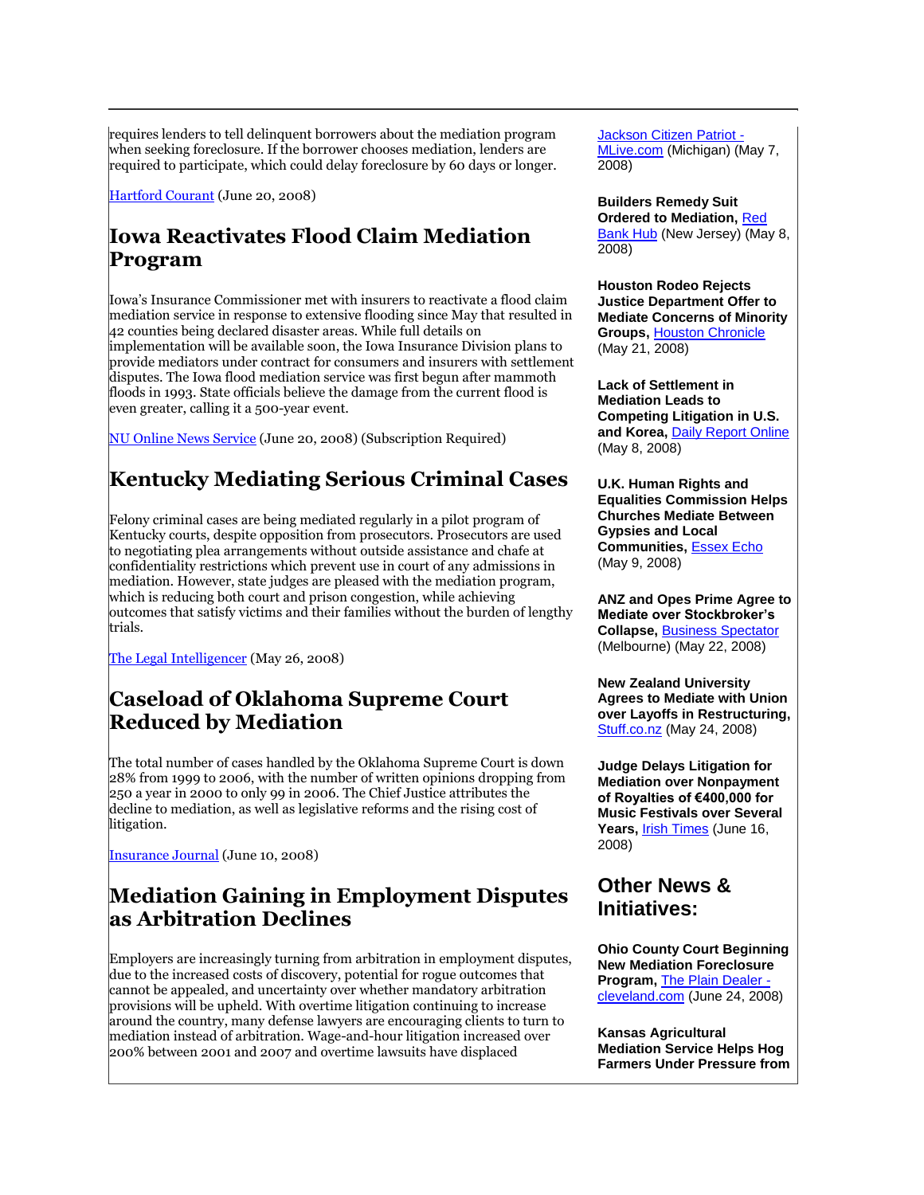requires lenders to tell delinquent borrowers about the mediation program when seeking foreclosure. If the borrower chooses mediation, lenders are required to participate, which could delay foreclosure by 60 days or longer.

[Hartford Courant](http://www.courant.com/business/hc-freeze0620.artjun20,0,7770092.story) (June 20, 2008)

## **Iowa Reactivates Flood Claim Mediation Program**

Iowa's Insurance Commissioner met with insurers to reactivate a flood claim mediation service in response to extensive flooding since May that resulted in 42 counties being declared disaster areas. While full details on implementation will be available soon, the Iowa Insurance Division plans to provide mediators under contract for consumers and insurers with settlement disputes. The Iowa flood mediation service was first begun after mammoth floods in 1993. State officials believe the damage from the current flood is even greater, calling it a 500-year event.

[NU Online News Service](http://tinyurl.com/5cvlef) (June 20, 2008) (Subscription Required)

## **Kentucky Mediating Serious Criminal Cases**

Felony criminal cases are being mediated regularly in a pilot program of Kentucky courts, despite opposition from prosecutors. Prosecutors are used to negotiating plea arrangements without outside assistance and chafe at confidentiality restrictions which prevent use in court of any admissions in mediation. However, state judges are pleased with the mediation program, which is reducing both court and prison congestion, while achieving outcomes that satisfy victims and their families without the burden of lengthy trials.

[The Legal Intelligencer](http://www.law.com/jsp/pa/PubArticlePA.jsp?id=1202421699956) (May 26, 2008)

#### **Caseload of Oklahoma Supreme Court Reduced by Mediation**

The total number of cases handled by the Oklahoma Supreme Court is down 28% from 1999 to 2006, with the number of written opinions dropping from 250 a year in 2000 to only 99 in 2006. The Chief Justice attributes the decline to mediation, as well as legislative reforms and the rising cost of litigation.

[Insurance Journal](http://www.insurancejournal.com/news/southcentral/2008/06/10/90817.htm) (June 10, 2008)

#### **Mediation Gaining in Employment Disputes as Arbitration Declines**

Employers are increasingly turning from arbitration in employment disputes, due to the increased costs of discovery, potential for rogue outcomes that cannot be appealed, and uncertainty over whether mandatory arbitration provisions will be upheld. With overtime litigation continuing to increase around the country, many defense lawyers are encouraging clients to turn to mediation instead of arbitration. Wage-and-hour litigation increased over 200% between 2001 and 2007 and overtime lawsuits have displaced

Jackson Citizen Patriot - MLive.com (Michigan) (May 7, 2008)

**Builders Remedy Suit Ordered to Mediation,** [Red](http://hub.gmnews.com/news/2008/0508/Front_page/018.html)  [Bank Hub](http://hub.gmnews.com/news/2008/0508/Front_page/018.html) (New Jersey) (May 8, 2008)

**Houston Rodeo Rejects Justice Department Offer to Mediate Concerns of Minority Groups,** [Houston Chronicle](http://www.chron.com/disp/story.mpl/metropolitan/5795635.html) (May 21, 2008)

**Lack of Settlement in Mediation Leads to Competing Litigation in U.S. and Korea,** [Daily Report Online](http://www.dailyreportonline.com/Editorial/News/singleEdit.asp?individual_SQL=5/8/2008@23214) (May 8, 2008)

**U.K. Human Rights and Equalities Commission Helps Churches Mediate Between Gypsies and Local Communities,** [Essex Echo](http://tinyurl.com/5n5lmo) (May 9, 2008)

**ANZ and Opes Prime Agree to Mediate over Stockbroker's Collapse,** [Business Spectator](http://tinyurl.com/682hx3) (Melbourne) (May 22, 2008)

**New Zealand University Agrees to Mediate with Union over Layoffs in Restructuring,**  [Stuff.co.nz](http://www.stuff.co.nz/4558728a7694.html) (May 24, 2008)

**Judge Delays Litigation for Mediation over Nonpayment of Royalties of €400,000 for Music Festivals over Several Years,** [Irish Times](http://www.irishtimes.com/newspaper/breaking/2008/0616/breaking74.htm) (June 16, 2008)

#### **Other News & Initiatives:**

**Ohio County Court Beginning New Mediation Foreclosure Program,** [The Plain Dealer](http://blog.cleveland.com/metro/2008/06/mediation_available_to_ward_of.html)  [cleveland.com](http://blog.cleveland.com/metro/2008/06/mediation_available_to_ward_of.html) (June 24, 2008)

**Kansas Agricultural Mediation Service Helps Hog Farmers Under Pressure from**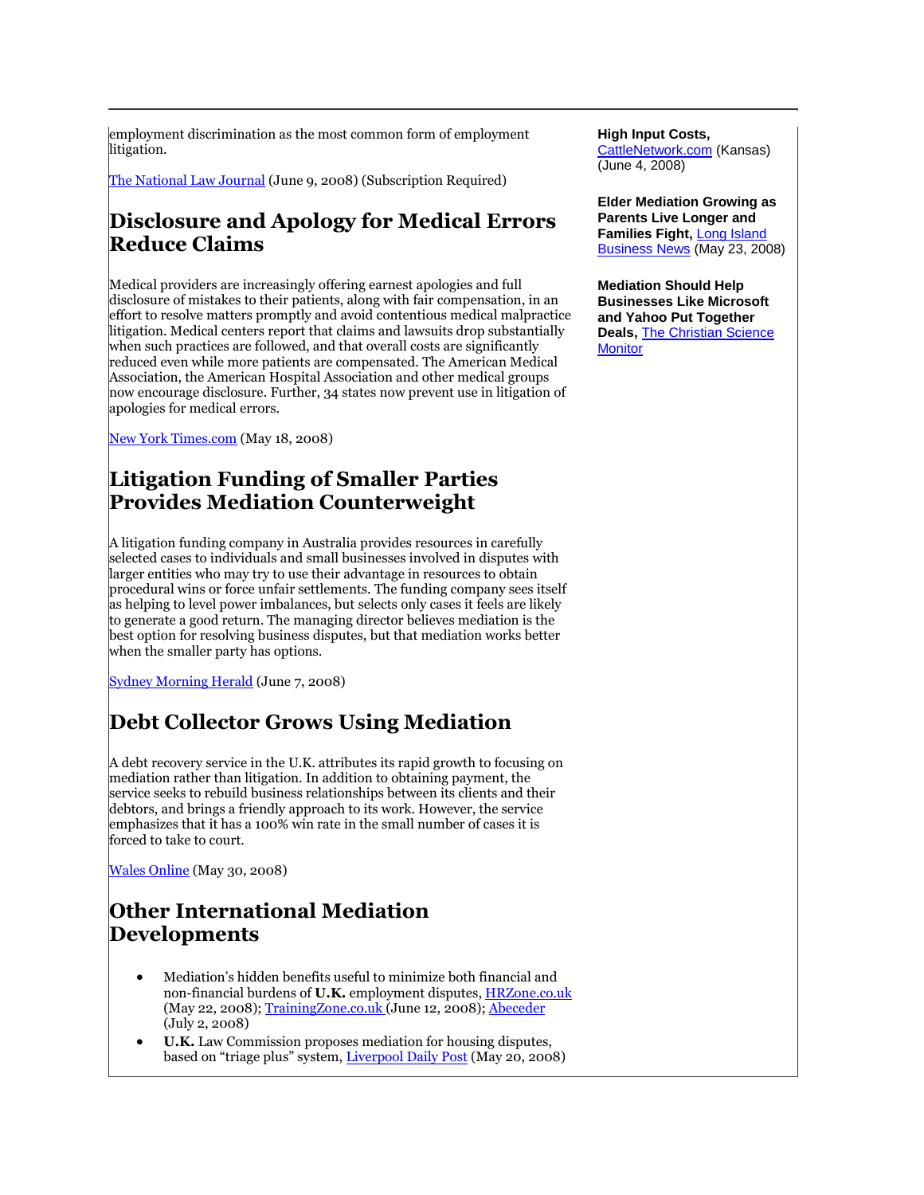employment discrimination as the most common form of employment litigation.

[The National Law Journal](http://tinyurl.com/5f4nod) (June 9, 2008) (Subscription Required)

#### **Disclosure and Apology for Medical Errors Reduce Claims**

Medical providers are increasingly offering earnest apologies and full disclosure of mistakes to their patients, along with fair compensation, in an effort to resolve matters promptly and avoid contentious medical malpractice litigation. Medical centers report that claims and lawsuits drop substantially when such practices are followed, and that overall costs are significantly reduced even while more patients are compensated. The American Medical Association, the American Hospital Association and other medical groups now encourage disclosure. Further, 34 states now prevent use in litigation of apologies for medical errors.

[New York Times.com](http://tinyurl.com/58tn6t) (May 18, 2008)

#### **Litigation Funding of Smaller Parties Provides Mediation Counterweight**

A litigation funding company in Australia provides resources in carefully selected cases to individuals and small businesses involved in disputes with larger entities who may try to use their advantage in resources to obtain procedural wins or force unfair settlements. The funding company sees itself as helping to level power imbalances, but selects only cases it feels are likely to generate a good return. The managing director believes mediation is the best option for resolving business disputes, but that mediation works better when the smaller party has options.

[Sydney Morning Herald](http://tinyurl.com/5hrkol) (June 7, 2008)

## **Debt Collector Grows Using Mediation**

A debt recovery service in the U.K. attributes its rapid growth to focusing on mediation rather than litigation. In addition to obtaining payment, the service seeks to rebuild business relationships between its clients and their debtors, and brings a friendly approach to its work. However, the service emphasizes that it has a 100% win rate in the small number of cases it is forced to take to court.

[Wales Online](http://tinyurl.com/5puczo) (May 30, 2008)

## **Other International Mediation Developments**

- Mediation's hidden benefits useful to minimize both financial and non-financial burdens of **U.K.** employment disputes, [HRZone.co.uk](http://www.hrzone.co.uk/cgi-bin/item.cgi?id=183721) (May 22, 2008)[; TrainingZone.co.uk \(](http://tinyurl.com/5p8shf)June 12, 2008)[; Abeceder](http://www.abeceder.co.uk/newsarticle_3591.php) (July 2, 2008)
- **U.K.** Law Commission proposes mediation for housing disputes, based on "triage plus" system, [Liverpool Daily Post](http://tinyurl.com/67pgxe) (May 20, 2008)

#### **High Input Costs,**

[CattleNetwork.com](http://www.cattlenetwork.com/Content.asp?ContentID=226750) (Kansas) (June 4, 2008)

**Elder Mediation Growing as Parents Live Longer and Families Fight,** [Long Island](http://tinyurl.com/5gz94g)  [Business News](http://tinyurl.com/5gz94g) (May 23, 2008)

**Mediation Should Help Businesses Like Microsoft and Yahoo Put Together Deals,** [The Christian Science](http://www.csmonitor.com/2008/0512/p09s01-coop.html?page=1)  **[Monitor](http://www.csmonitor.com/2008/0512/p09s01-coop.html?page=1)**